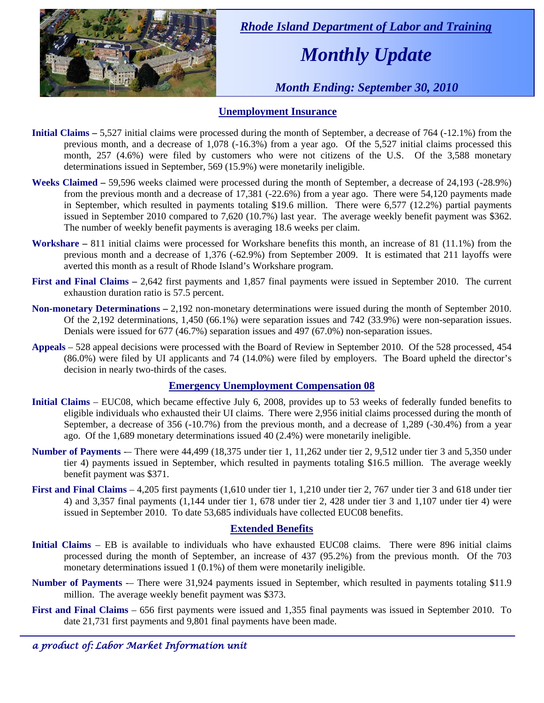

 *Rhode Island Department of Labor and Training* 

# *Monthly Update*

 *Month Ending: September 30, 2010* 

### **Unemployment Insurance**

- **Initial Claims** 5,527 initial claims were processed during the month of September, a decrease of 764 (-12.1%) from the previous month, and a decrease of 1,078 (-16.3%) from a year ago. Of the 5,527 initial claims processed this month, 257 (4.6%) were filed by customers who were not citizens of the U.S. Of the 3,588 monetary determinations issued in September, 569 (15.9%) were monetarily ineligible.
- **Weeks Claimed** 59,596 weeks claimed were processed during the month of September, a decrease of 24,193 (-28.9%) from the previous month and a decrease of 17,381 (-22.6%) from a year ago. There were 54,120 payments made in September, which resulted in payments totaling \$19.6 million. There were 6,577 (12.2%) partial payments issued in September 2010 compared to 7,620 (10.7%) last year. The average weekly benefit payment was \$362. The number of weekly benefit payments is averaging 18.6 weeks per claim.
- **Workshare –** 811 initial claims were processed for Workshare benefits this month, an increase of 81 (11.1%) from the previous month and a decrease of 1,376 (-62.9%) from September 2009. It is estimated that 211 layoffs were averted this month as a result of Rhode Island's Workshare program.
- **First and Final Claims –** 2,642 first payments and 1,857 final payments were issued in September 2010. The current exhaustion duration ratio is 57.5 percent.
- **Non-monetary Determinations –** 2,192 non-monetary determinations were issued during the month of September 2010. Of the 2,192 determinations, 1,450 (66.1%) were separation issues and 742 (33.9%) were non-separation issues. Denials were issued for 677 (46.7%) separation issues and 497 (67.0%) non-separation issues.
- **Appeals** 528 appeal decisions were processed with the Board of Review in September 2010. Of the 528 processed, 454 (86.0%) were filed by UI applicants and 74 (14.0%) were filed by employers. The Board upheld the director's decision in nearly two-thirds of the cases.

#### **Emergency Unemployment Compensation 08**

- **Initial Claims**  EUC08, which became effective July 6, 2008, provides up to 53 weeks of federally funded benefits to eligible individuals who exhausted their UI claims. There were 2,956 initial claims processed during the month of September, a decrease of 356 (-10.7%) from the previous month, and a decrease of 1,289 (-30.4%) from a year ago. Of the 1,689 monetary determinations issued 40 (2.4%) were monetarily ineligible.
- **Number of Payments** -– There were 44,499 (18,375 under tier 1, 11,262 under tier 2, 9,512 under tier 3 and 5,350 under tier 4) payments issued in September, which resulted in payments totaling \$16.5 million. The average weekly benefit payment was \$371.
- **First and Final Claims**  4,205 first payments (1,610 under tier 1, 1,210 under tier 2, 767 under tier 3 and 618 under tier 4) and 3,357 final payments (1,144 under tier 1, 678 under tier 2, 428 under tier 3 and 1,107 under tier 4) were issued in September 2010. To date 53,685 individuals have collected EUC08 benefits.

#### **Extended Benefits**

- **Initial Claims**  EB is available to individuals who have exhausted EUC08 claims. There were 896 initial claims processed during the month of September, an increase of 437 (95.2%) from the previous month. Of the 703 monetary determinations issued 1 (0.1%) of them were monetarily ineligible.
- **Number of Payments** -– There were 31,924 payments issued in September, which resulted in payments totaling \$11.9 million. The average weekly benefit payment was \$373.
- **First and Final Claims**  656 first payments were issued and 1,355 final payments was issued in September 2010. To date 21,731 first payments and 9,801 final payments have been made.